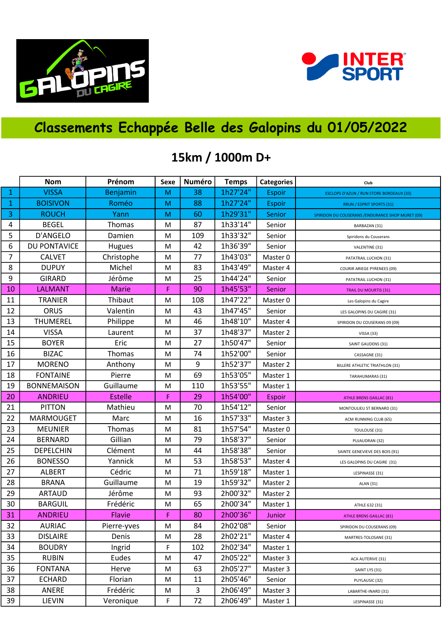



## Classements Echappée Belle des Galopins du 01/05/2022

## 15km / 1000m D+

|              | <b>Nom</b>         | Prénom         | Sexe | Numéro | <b>Temps</b> | <b>Categories</b> | Club                                              |
|--------------|--------------------|----------------|------|--------|--------------|-------------------|---------------------------------------------------|
| $\mathbf{1}$ | <b>VISSA</b>       | Benjamin       | M    | 38     | 1h27'24"     | <b>Espoir</b>     | <b>ESCLOPS D'AZUN / RUN STORE BORDEAUX (33)</b>   |
| $\mathbf 1$  | <b>BOISIVON</b>    | Roméo          | M    | 88     | 1h27'24"     | Espoir            | RRUN / ESPRIT SPORTS (31)                         |
| 3            | <b>ROUCH</b>       | Yann           | M    | 60     | 1h29'31"     | Senior            | SPIRIDON DU COUSERANS / ENDURANCE SHOP MURET (09) |
| 4            | <b>BEGEL</b>       | Thomas         | M    | 87     | 1h33'14"     | Senior            | BARBAZAN (31)                                     |
| 5            | D'ANGELO           | Damien         | M    | 109    | 1h33'32"     | Senior            | Spiridons du Couserans                            |
| 6            | DU PONTAVICE       | Hugues         | M    | 42     | 1h36'39"     | Senior            | VALENTINE (31)                                    |
| 7            | <b>CALVET</b>      | Christophe     | M    | 77     | 1h43'03"     | Master 0          | PATATRAIL LUCHON (31)                             |
| 8            | <b>DUPUY</b>       | Michel         | M    | 83     | 1h43'49"     | Master 4          | COURIR ARIEGE PYRENEES (09)                       |
| 9            | <b>GIRARD</b>      | Jérôme         | M    | 25     | 1h44'24"     | Senior            | PATATRAIL LUCHON (31)                             |
| 10           | <b>LALMANT</b>     | <b>Marie</b>   | F    | 90     | 1h45'53"     | Senior            | <b>TRAIL DU MOURTIS (31)</b>                      |
| 11           | <b>TRANIER</b>     | Thibaut        | M    | 108    | 1h47'22"     | Master 0          | Les Galopins du Cagire                            |
| 12           | ORUS               | Valentin       | M    | 43     | 1h47'45"     | Senior            | LES GALOPINS DU CAGIRE (31)                       |
| 13           | THUMEREL           | Philippe       | M    | 46     | 1h48'10"     | Master 4          | SPIRIDON DU COUSERANS 09 (09)                     |
| 14           | <b>VISSA</b>       | Laurent        | M    | 37     | 1h48'37"     | Master 2          | VISSA (33)                                        |
| 15           | <b>BOYER</b>       | Eric           | M    | 27     | 1h50'47"     | Senior            | SAINT GAUDENS (31)                                |
| 16           | <b>BIZAC</b>       | Thomas         | M    | 74     | 1h52'00"     | Senior            | CASSAGNE (31)                                     |
| 17           | <b>MORENO</b>      | Anthony        | M    | 9      | 1h52'37"     | Master 2          | BILLERE ATHLETIC TRIATHLON (31)                   |
| 18           | <b>FONTAINE</b>    | Pierre         | M    | 69     | 1h53'05"     | Master 1          | TARAHUMARAS (31)                                  |
| 19           | <b>BONNEMAISON</b> | Guillaume      | M    | 110    | 1h53'55"     | Master 1          |                                                   |
| 20           | <b>ANDRIEU</b>     | <b>Estelle</b> | F    | 29     | 1h54'00"     | Espoir            | <b>ATHLE BRENS GAILLAC (81)</b>                   |
| 21           | <b>PITTON</b>      | Mathieu        | M    | 70     | 1h54'12"     | Senior            | MONTOULIEU ST BERNARD (31)                        |
| 22           | MARMOUGET          | Marc           | M    | 16     | 1h57'33"     | Master 3          | ACM RUNNING CLUB (65)                             |
| 23           | <b>MEUNIER</b>     | Thomas         | M    | 81     | 1h57'54"     | Master 0          | TOULOUSE (31)                                     |
| 24           | <b>BERNARD</b>     | Gillian        | M    | 79     | 1h58'37"     | Senior            | PUJAUDRAN (32)                                    |
| 25           | <b>DEPELCHIN</b>   | Clément        | M    | 44     | 1h58'38"     | Senior            | SAINTE GENEVIEVE DES BOIS (91)                    |
| 26           | <b>BONESSO</b>     | Yannick        | M    | 53     | 1h58'53"     | Master 4          | LES GALOPINS DU CAGIRE (31)                       |
| 27           | <b>ALBERT</b>      | Cédric         | M    | 71     | 1h59'18"     | Master 1          | LESPINASSE (31)                                   |
| 28           | <b>BRANA</b>       | Guillaume      | M    | 19     | 1h59'32"     | Master 2          | ALAN (31)                                         |
| 29           | <b>ARTAUD</b>      | Jérôme         | M    | 93     | 2h00'32"     | Master 2          |                                                   |
| 30           | <b>BARGUIL</b>     | Frédéric       | M    | 65     | 2h00'34"     | Master 1          | ATHLE 632 (31)                                    |
| 31           | <b>ANDRIEU</b>     | Flavie         | F    | 80     | 2h00'36"     | Junior            | <b>ATHLE BRENS GAILLAC (81)</b>                   |
| 32           | <b>AURIAC</b>      | Pierre-yves    | M    | 84     | 2h02'08"     | Senior            | SPIRIDON DU COUSERANS (09)                        |
| 33           | <b>DISLAIRE</b>    | Denis          | M    | 28     | 2h02'21"     | Master 4          | MARTRES-TOLOSANE (31)                             |
| 34           | <b>BOUDRY</b>      | Ingrid         | F    | 102    | 2h02'34"     | Master 1          |                                                   |
| 35           | <b>RUBIN</b>       | Eudes          | M    | 47     | 2h05'22"     | Master 3          | ACA AUTERIVE (31)                                 |
| 36           | <b>FONTANA</b>     | Herve          | M    | 63     | 2h05'27"     | Master 3          | SAINT LYS (31)                                    |
| 37           | <b>ECHARD</b>      | Florian        | M    | 11     | 2h05'46"     | Senior            | PUYLAUSIC (32)                                    |
| 38           | ANERE              | Frédéric       | M    | 3      | 2h06'49"     | Master 3          | LABARTHE-INARD (31)                               |
| 39           | LIEVIN             | Veronique      | F    | 72     | 2h06'49"     | Master 1          | LESPINASSE (31)                                   |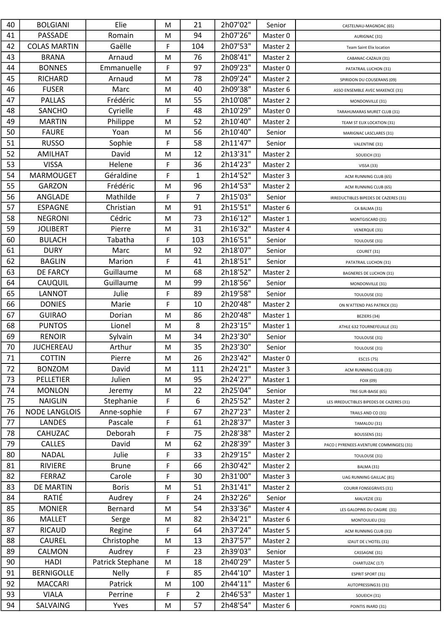| 40 | <b>BOLGIANI</b>      | Elie             | M | 21             | 2h07'02" | Senior   | CASTELNAU-MAGNOAC (65)                    |
|----|----------------------|------------------|---|----------------|----------|----------|-------------------------------------------|
| 41 | PASSADE              | Romain           | M | 94             | 2h07'26" | Master 0 | AURIGNAC (31)                             |
| 42 | <b>COLAS MARTIN</b>  | Gaëlle           | F | 104            | 2h07'53" | Master 2 | <b>Team Saint Elix location</b>           |
| 43 | <b>BRANA</b>         | Arnaud           | M | 76             | 2h08'41" | Master 2 | CABANAC-CAZAUX (31)                       |
| 44 | <b>BONNES</b>        | Emmanuelle       | F | 97             | 2h09'23" | Master 0 | PATATRAIL LUCHON (31)                     |
| 45 | <b>RICHARD</b>       | Arnaud           | M | 78             | 2h09'24" | Master 2 | SPIRIDON DU COUSERANS (09)                |
| 46 | <b>FUSER</b>         | Marc             | M | 40             | 2h09'38" | Master 6 | ASSO ENSEMBLE AVEC MAXENCE (31)           |
| 47 | <b>PALLAS</b>        | Frédéric         | M | 55             | 2h10'08" | Master 2 | MONDONVILLE (31)                          |
| 48 | <b>SANCHO</b>        | Cyrielle         | F | 48             | 2h10'29" | Master 0 | TARAHUMARAS MURET CLUB (31)               |
| 49 | <b>MARTIN</b>        | Philippe         | M | 52             | 2h10'40" | Master 2 | TEAM ST ELIX LOCATION (31)                |
| 50 | <b>FAURE</b>         | Yoan             | M | 56             | 2h10'40" | Senior   | MARIGNAC LASCLARES (31)                   |
| 51 | <b>RUSSO</b>         | Sophie           | F | 58             | 2h11'47" | Senior   |                                           |
| 52 | <b>AMILHAT</b>       | David            | M | 12             | 2h13'31" | Master 2 | VALENTINE (31)                            |
| 53 | <b>VISSA</b>         | Helene           | F | 36             | 2h14'23" | Master 2 | SOUEICH (31)                              |
| 54 | <b>MARMOUGET</b>     | Géraldine        | F | $\mathbf{1}$   | 2h14'52" | Master 3 | VISSA (33)                                |
| 55 | <b>GARZON</b>        | Frédéric         | M | 96             | 2h14'53" | Master 2 | ACM RUNNING CLUB (65)                     |
| 56 | ANGLADE              | Mathilde         | F | $\overline{7}$ | 2h15'03" |          | ACM RUNNING CLUB (65)                     |
| 57 | <b>ESPAGNE</b>       | Christian        |   | 91             | 2h15'51" | Senior   | IRREDUCTIBLES BIPEDES DE CAZERES (31)     |
| 58 |                      | Cédric           | M | 73             | 2h16'12" | Master 6 | CA BALMA (31)                             |
|    | <b>NEGRONI</b>       |                  | M |                |          | Master 1 | MONTGISCARD (31)                          |
| 59 | <b>JOLIBERT</b>      | Pierre           | M | 31             | 2h16'32" | Master 4 | VENERQUE (31)                             |
| 60 | <b>BULACH</b>        | Tabatha          | F | 103            | 2h16'51" | Senior   | TOULOUSE (31)                             |
| 61 | <b>DURY</b>          | Marc             | M | 92             | 2h18'07" | Senior   | COURET (31)                               |
| 62 | <b>BAGLIN</b>        | Marion           | F | 41             | 2h18'51" | Senior   | PATATRAIL LUCHON (31)                     |
| 63 | <b>DE FARCY</b>      | Guillaume        | M | 68             | 2h18'52" | Master 2 | BAGNERES DE LUCHON (31)                   |
| 64 | CAUQUIL              | Guillaume        | M | 99             | 2h18'56" | Senior   | MONDONVILLE (31)                          |
| 65 | <b>LANNOT</b>        | Julie            | F | 89             | 2h19'58" | Senior   | TOULOUSE (31)                             |
| 66 | <b>DONIES</b>        | Marie            | F | 10             | 2h20'48" | Master 2 | ON N'ATTEND PAS PATRICK (31)              |
| 67 | <b>GUIRAO</b>        | Dorian           | M | 86             | 2h20'48" | Master 1 | BEZIERS (34)                              |
| 68 | <b>PUNTOS</b>        | Lionel           | M | 8              | 2h23'15" | Master 1 | ATHLE 632 TOURNEFEUILLE (31)              |
| 69 | <b>RENOIR</b>        | Sylvain          | M | 34             | 2h23'30" | Senior   | TOULOUSE (31)                             |
| 70 | <b>JUCHEREAU</b>     | Arthur           | M | 35             | 2h23'30" | Senior   | TOULOUSE (31)                             |
| 71 | <b>COTTIN</b>        | Pierre           | M | 26             | 2h23'42" | Master 0 | ESC15 (75)                                |
| 72 | <b>BONZOM</b>        | David            | M | 111            | 2h24'21" | Master 3 | ACM RUNNING CLUB (31)                     |
| 73 | <b>PELLETIER</b>     | Julien           | M | 95             | 2h24'27" | Master 1 | FOIX (09)                                 |
| 74 | <b>MONLON</b>        | Jeremy           | M | 22             | 2h25'04" | Senior   | TRIE-SUR-BAISE (65)                       |
| 75 | <b>NAIGLIN</b>       | Stephanie        | F | 6              | 2h25'52" | Master 2 | LES IRREDUCTIBLES BIPEDES DE CAZERES (31) |
| 76 | <b>NODE LANGLOIS</b> | Anne-sophie      | F | 67             | 2h27'23" | Master 2 | TRAILS AND CO (31)                        |
| 77 | <b>LANDES</b>        | Pascale          | F | 61             | 2h28'37" | Master 3 | TAMALOU (31)                              |
| 78 | CAHUZAC              | Deborah          | F | 75             | 2h28'38" | Master 2 | BOUSSENS (31)                             |
| 79 | CALLES               | David            | M | 62             | 2h28'39" | Master 3 | PACO ( PYRENEES AVENTURE COMMINGES) (31)  |
| 80 | <b>NADAL</b>         | Julie            | F | 33             | 2h29'15" | Master 2 | TOULOUSE (31)                             |
| 81 | <b>RIVIERE</b>       | <b>Brune</b>     | F | 66             | 2h30'42" | Master 2 | BALMA (31)                                |
| 82 | <b>FERRAZ</b>        | Carole           | F | 30             | 2h31'00" | Master 3 | UAG RUNNING GAILLAC (81)                  |
| 83 | DE MARTIN            | <b>Boris</b>     | M | 51             | 2h31'41" | Master 2 | <b>COURIR FONSEGRIVES (31)</b>            |
| 84 | RATIÉ                | Audrey           | F | 24             | 2h32'26" | Senior   | MALVEZIE (31)                             |
| 85 | <b>MONIER</b>        | Bernard          | M | 54             | 2h33'36" | Master 4 | LES GALOPINS DU CAGIRE (31)               |
| 86 | <b>MALLET</b>        | Serge            | M | 82             | 2h34'21" | Master 6 | MONTOULIEU (31)                           |
| 87 | <b>RICAUD</b>        | Regine           | F | 64             | 2h37'24" | Master 5 | ACM RUNNING CLUB (31)                     |
| 88 | CAUREL               | Christophe       | M | 13             | 2h37'57" | Master 2 | IZAUT DE L'HOTEL (31)                     |
| 89 | CALMON               | Audrey           | F | 23             | 2h39'03" | Senior   | CASSAGNE (31)                             |
| 90 | <b>HADI</b>          | Patrick Stephane | M | 18             | 2h40'29" | Master 5 | CHARTUZAC (17)                            |
| 91 | <b>BERNIGOLLE</b>    | <b>Nelly</b>     | F | 85             | 2h44'10" | Master 1 | <b>ESPRIT SPORT (31)</b>                  |
| 92 | <b>MACCARI</b>       | Patrick          | M | 100            | 2h44'11" | Master 6 | AUTOPRESSING31 (31)                       |
| 93 | <b>VIALA</b>         | Perrine          | F | 2              | 2h46'53" | Master 1 | SOUEICH (31)                              |
| 94 | SALVAING             | Yves             | М | 57             | 2h48'54" | Master 6 | POINTIS INARD (31)                        |